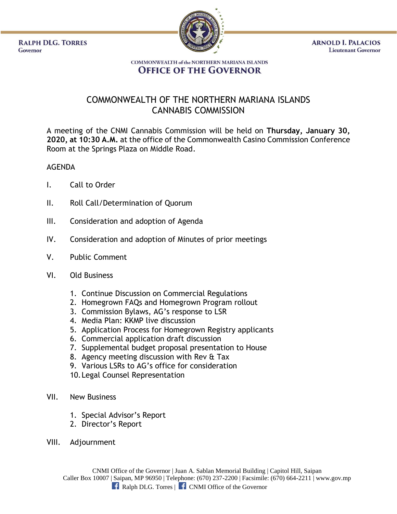**RALPH DLG. TORRES** Governor



**ARNOLD I. PALACIOS Lieutenant Governor** 

## **COMMONWEALTH of the NORTHERN MARIANA ISLANDS OFFICE OF THE GOVERNOR**

## COMMONWEALTH OF THE NORTHERN MARIANA ISLANDS CANNABIS COMMISSION

A meeting of the CNMI Cannabis Commission will be held on **Thursday, January 30, 2020, at 10:30 A.M.** at the office of the Commonwealth Casino Commission Conference Room at the Springs Plaza on Middle Road.

## AGENDA

- I. Call to Order
- II. Roll Call/Determination of Quorum
- III. Consideration and adoption of Agenda
- IV. Consideration and adoption of Minutes of prior meetings
- V. Public Comment
- VI. Old Business
	- 1. Continue Discussion on Commercial Regulations
	- 2. Homegrown FAQs and Homegrown Program rollout
	- 3. Commission Bylaws, AG's response to LSR
	- 4. Media Plan: KKMP live discussion
	- 5. Application Process for Homegrown Registry applicants
	- 6. Commercial application draft discussion
	- 7. Supplemental budget proposal presentation to House
	- 8. Agency meeting discussion with Rev & Tax
	- 9. Various LSRs to AG's office for consideration
	- 10.Legal Counsel Representation
- VII. New Business
	- 1. Special Advisor's Report
	- 2. Director's Report
- VIII. Adjournment